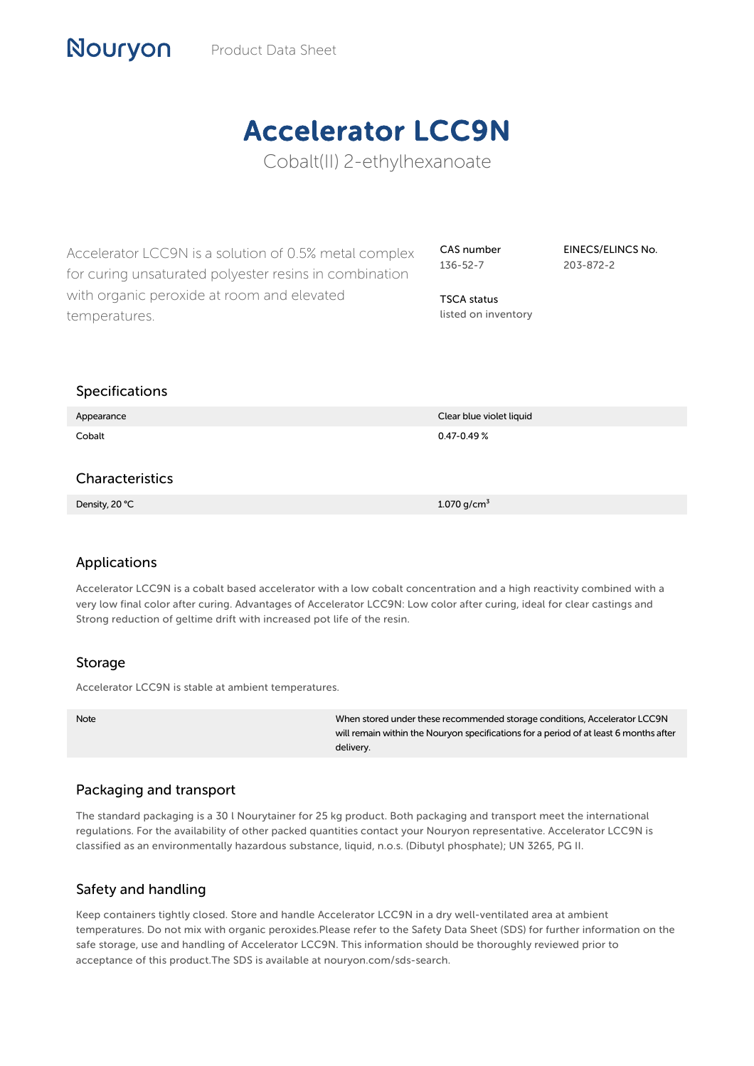# Accelerator LCC9N

Cobalt(II) 2-ethylhexanoate

Accelerator LCC9N is a solution of 0.5% metal complex for curing unsaturated polyester resins in combination with organic peroxide at room and elevated temperatures.

CAS number 136-52-7

EINECS/ELINCS No. 203-872-2

listed on inventory

TSCA status

### Specifications

Nouryon

| Appearance      | Clear blue violet liquid |
|-----------------|--------------------------|
| Cobalt          | $0.47 - 0.49 %$          |
|                 |                          |
| Characteristics |                          |

Density,  $20 °C$  1.070 g/cm $^3$ 

## Applications

Accelerator LCC9N is a cobalt based accelerator with a low cobalt concentration and a high reactivity combined with a very low final color after curing. Advantages of Accelerator LCC9N: Low color after curing, ideal for clear castings and Strong reduction of geltime drift with increased pot life of the resin.

#### Storage

Accelerator LCC9N is stable at ambient temperatures.

Note When stored under these recommended storage conditions, Accelerator LCC9N will remain within the Nouryon specifications for a period of at least 6 months after delivery.

## Packaging and transport

The standard packaging is a 30 l Nourytainer for 25 kg product. Both packaging and transport meet the international regulations. For the availability of other packed quantities contact your Nouryon representative. Accelerator LCC9N is classified as an environmentally hazardous substance, liquid, n.o.s. (Dibutyl phosphate); UN 3265, PG II.

## Safety and handling

Keep containers tightly closed. Store and handle Accelerator LCC9N in a dry well-ventilated area at ambient temperatures. Do not mix with organic peroxides.Please refer to the Safety Data Sheet (SDS) for further information on the safe storage, use and handling of Accelerator LCC9N. This information should be thoroughly reviewed prior to acceptance of this product.The SDS is available at nouryon.com/sds-search.